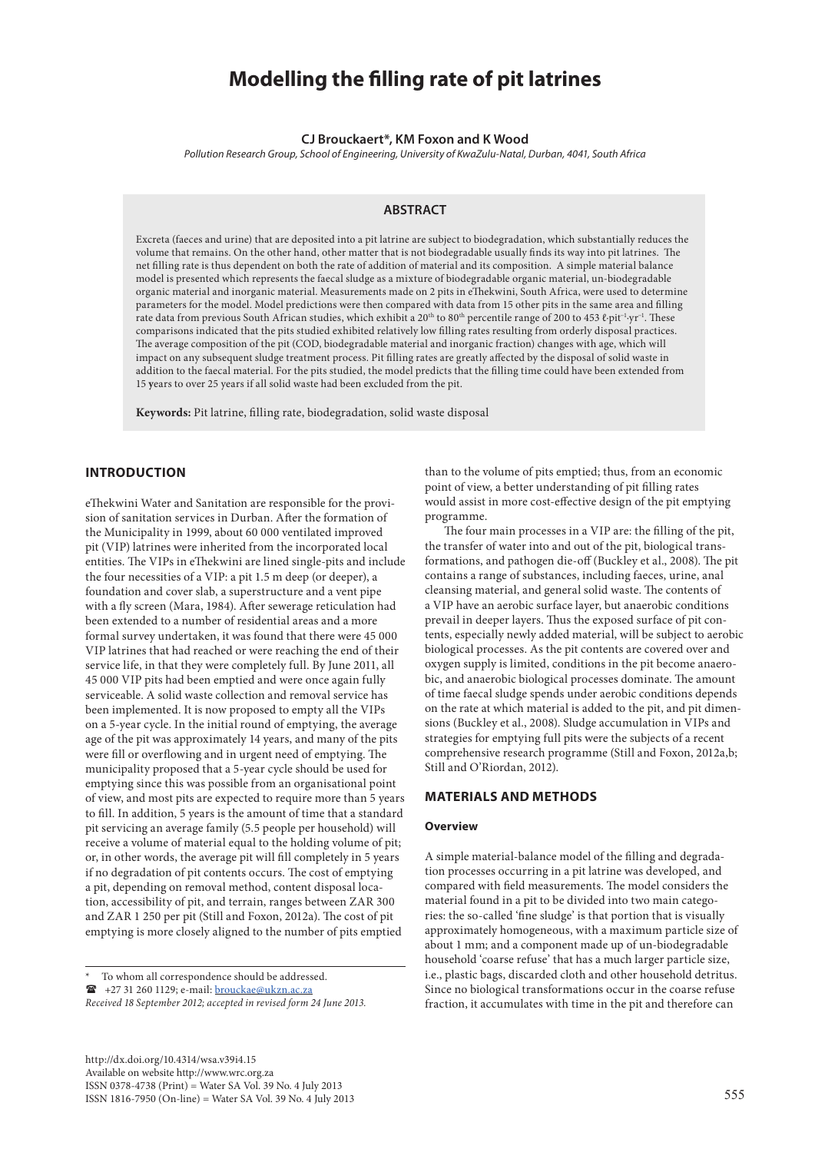# **Modelling the filling rate of pit latrines**

## **CJ Brouckaert\*, KM Foxon and K Wood**

*Pollution Research Group, School of Engineering, University of KwaZulu-Natal, Durban, 4041, South Africa*

# **ABSTRACT**

Excreta (faeces and urine) that are deposited into a pit latrine are subject to biodegradation, which substantially reduces the volume that remains. On the other hand, other matter that is not biodegradable usually finds its way into pit latrines. The net filling rate is thus dependent on both the rate of addition of material and its composition. A simple material balance model is presented which represents the faecal sludge as a mixture of biodegradable organic material, un-biodegradable organic material and inorganic material. Measurements made on 2 pits in eThekwini, South Africa, were used to determine parameters for the model. Model predictions were then compared with data from 15 other pits in the same area and filling rate data from previous South African studies, which exhibit a 20<sup>th</sup> to 80<sup>th</sup> percentile range of 200 to 453 ℓ•pit<sup>-1</sup>·yr<sup>-1</sup>. These comparisons indicated that the pits studied exhibited relatively low filling rates resulting from orderly disposal practices. The average composition of the pit (COD, biodegradable material and inorganic fraction) changes with age, which will impact on any subsequent sludge treatment process. Pit filling rates are greatly affected by the disposal of solid waste in addition to the faecal material. For the pits studied, the model predicts that the filling time could have been extended from 15 **y**ears to over 25 years if all solid waste had been excluded from the pit.

**Keywords:** Pit latrine, filling rate, biodegradation, solid waste disposal

# **INTRODUCTION**

eThekwini Water and Sanitation are responsible for the provision of sanitation services in Durban. After the formation of the Municipality in 1999, about 60 000 ventilated improved pit (VIP) latrines were inherited from the incorporated local entities. The VIPs in eThekwini are lined single-pits and include the four necessities of a VIP: a pit 1.5 m deep (or deeper), a foundation and cover slab, a superstructure and a vent pipe with a fly screen (Mara, 1984). After sewerage reticulation had been extended to a number of residential areas and a more formal survey undertaken, it was found that there were 45 000 VIP latrines that had reached or were reaching the end of their service life, in that they were completely full. By June 2011, all 45 000 VIP pits had been emptied and were once again fully serviceable. A solid waste collection and removal service has been implemented. It is now proposed to empty all the VIPs on a 5-year cycle. In the initial round of emptying, the average age of the pit was approximately 14 years, and many of the pits were fill or overflowing and in urgent need of emptying. The municipality proposed that a 5-year cycle should be used for emptying since this was possible from an organisational point of view, and most pits are expected to require more than 5 years to fill. In addition, 5 years is the amount of time that a standard pit servicing an average family (5.5 people per household) will receive a volume of material equal to the holding volume of pit; or, in other words, the average pit will fill completely in 5 years if no degradation of pit contents occurs. The cost of emptying a pit, depending on removal method, content disposal location, accessibility of pit, and terrain, ranges between ZAR 300 and ZAR 1 250 per pit (Still and Foxon, 2012a). The cost of pit emptying is more closely aligned to the number of pits emptied

http://dx.doi.org/10.4314/wsa.v39i4.15 Available on website http://www.wrc.org.za ISSN 0378-4738 (Print) = Water SA Vol. 39 No. 4 July 2013 ISSN 1816-7950 (On-line) = Water SA Vol. 39 No. 4 July 2013 555

than to the volume of pits emptied; thus, from an economic point of view, a better understanding of pit filling rates would assist in more cost-effective design of the pit emptying programme.

The four main processes in a VIP are: the filling of the pit, the transfer of water into and out of the pit, biological transformations, and pathogen die-off (Buckley et al., 2008). The pit contains a range of substances, including faeces, urine, anal cleansing material, and general solid waste. The contents of a VIP have an aerobic surface layer, but anaerobic conditions prevail in deeper layers. Thus the exposed surface of pit contents, especially newly added material, will be subject to aerobic biological processes. As the pit contents are covered over and oxygen supply is limited, conditions in the pit become anaerobic, and anaerobic biological processes dominate. The amount of time faecal sludge spends under aerobic conditions depends on the rate at which material is added to the pit, and pit dimensions (Buckley et al., 2008). Sludge accumulation in VIPs and strategies for emptying full pits were the subjects of a recent comprehensive research programme (Still and Foxon, 2012a,b; Still and O'Riordan, 2012).

# **MATERIALS AND METHODS**

## **Overview**

A simple material-balance model of the filling and degradation processes occurring in a pit latrine was developed, and compared with field measurements. The model considers the material found in a pit to be divided into two main categories: the so-called 'fine sludge' is that portion that is visually approximately homogeneous, with a maximum particle size of about 1 mm; and a component made up of un-biodegradable household 'coarse refuse' that has a much larger particle size, i.e., plastic bags, discarded cloth and other household detritus. Since no biological transformations occur in the coarse refuse fraction, it accumulates with time in the pit and therefore can

To whom all correspondence should be addressed.

+27 31 260 1129; e-mail: [brouckae@ukzn.ac.za](mailto:brouckae@ukzn.ac.za)

*Received 18 September 2012; accepted in revised form 24 June 2013.*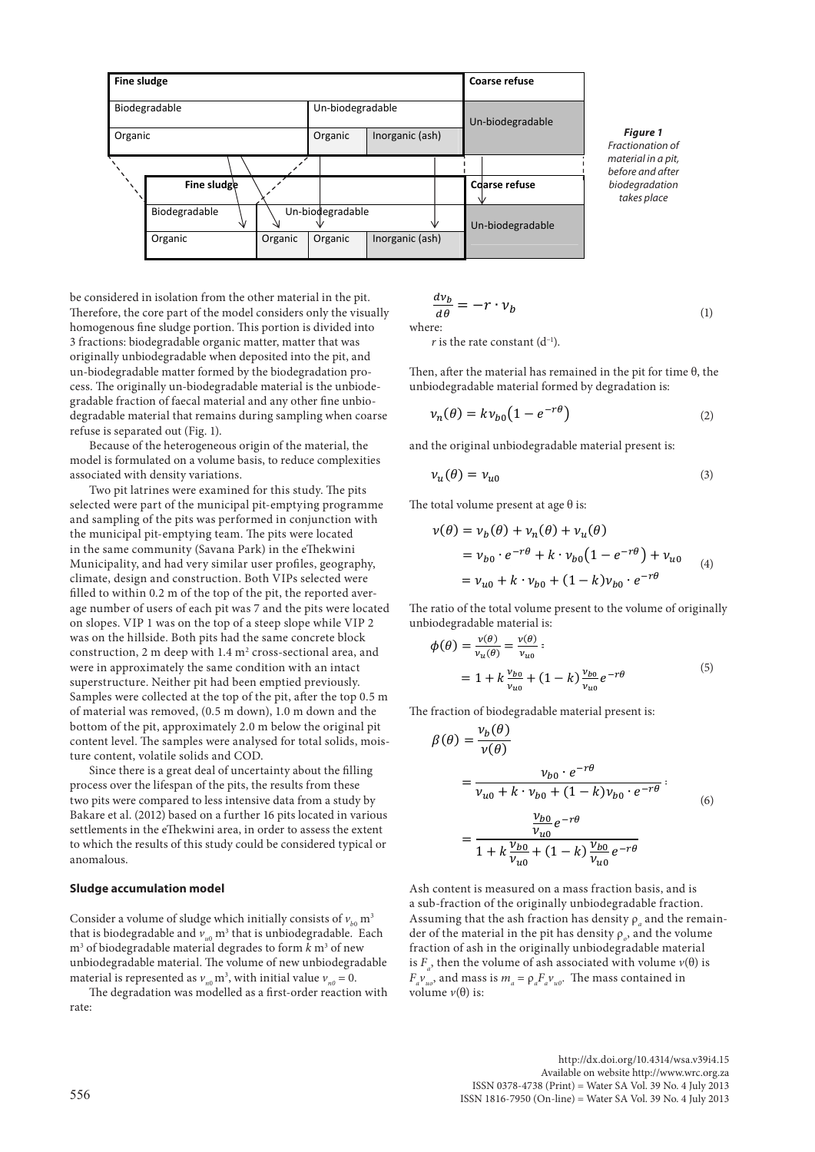| Fine sludge        |                       |                  |                  | Coarse refuse        |  |
|--------------------|-----------------------|------------------|------------------|----------------------|--|
| Biodegradable      |                       | Un-biodegradable |                  | Un-biodegradable     |  |
| Organic            |                       | Organic          | Inorganic (ash)  |                      |  |
|                    |                       |                  |                  |                      |  |
| Fine sludge        |                       |                  |                  | <b>Coarse refuse</b> |  |
| Biodegradable<br>₩ | Un-biodegradable<br>Ψ |                  | Un-biodegradable |                      |  |
| Organic            | Organic               | Organic          | Inorganic (ash)  |                      |  |

*Figure 1 Fractionation of material in a pit, before and after biodegradation takes place*

be considered in isolation from the other material in the pit. Therefore, the core part of the model considers only the visually homogenous fine sludge portion. This portion is divided into 3 fractions: biodegradable organic matter, matter that was originally unbiodegradable when deposited into the pit, and un-biodegradable matter formed by the biodegradation process. The originally un-biodegradable material is the unbiodegradable fraction of faecal material and any other fine unbiodegradable material that remains during sampling when coarse refuse is separated out (Fig. 1).

Because of the heterogeneous origin of the material, the model is formulated on a volume basis, to reduce complexities associated with density variations.

Two pit latrines were examined for this study. The pits selected were part of the municipal pit-emptying programme and sampling of the pits was performed in conjunction with the municipal pit-emptying team. The pits were located in the same community (Savana Park) in the eThekwini Municipality, and had very similar user profiles, geography,  $= v_{b0} \cdot e^{-r\theta} + k \cdot v_{b0} (1 - e^{-r\theta}) + v_{u0}$ climate, design and construction. Both VIPs selected were filled to within 0.2 m of the top of the pit, the reported average number of users of each pit was 7 and the pits were located on slopes. VIP 1 was on the top of a steep slope while VIP 2 was on the hillside. Both pits had the same concrete block construction, 2 m deep with  $1.4 \text{ m}^2$  cross-sectional area, and were in approximately the same condition with an intact superstructure. Neither pit had been emptied previously. Samples were collected at the top of the pit, after the top 0.5 m of material was removed, (0.5 m down), 1.0 m down and the bottom of the pit, approximately 2.0 m below the original pit content level. The samples were analysed for total solids, moisture content, volatile solids and COD.

Since there is a great deal of uncertainty about the filling process over the lifespan of the pits, the results from these two pits were compared to less intensive data from a study by Bakare et al. (2012) based on a further 16 pits located in various settlements in the eThekwini area, in order to assess the extent settlements in the eThekwini area, in order to assess the extent<br>to which the results of this study could be considered typical or  $=$ anomalous.

#### **Sludge accumulation model**

Consider a volume of sludge which initially consists of  $v_{b0}$  m<sup>3</sup> that is biodegradable and  $v_{u0}$  m<sup>3</sup> that is unbiodegradable. Each m<sup>3</sup> of biodegradable material degrades to form *k* m<sup>3</sup> of new unbiodegradable material. The volume of new unbiodegradable material is represented as  $v_{n0}$  m<sup>3</sup>, with initial value  $v_{n0} = 0$ .

The degradation was modelled as a first-order reaction with rate:

$$
\frac{d\mathbf{v}_b}{d\theta} = -r \cdot \mathbf{v}_b
$$
\nwhere:  
\n*r* is the rate constant (d<sup>-1</sup>).\n(1)

Then, after the material has remained in the pit for time θ, the unbiodegradable material formed by degradation is:

$$
\nu_n(\theta) = k\nu_{b0} \left( 1 - e^{-r\theta} \right) \tag{2}
$$

and the original unbiodegradable material present is:

$$
\nu_u(\theta) = \nu_{u0} \tag{3}
$$

The total volume present at age  $\theta$  is:

s were located  
\nthe eThekwini  
\nrofiles, geography,  
\n
$$
\nu(\theta) = v_b(\theta) + v_n(\theta) + v_u(\theta)
$$
\n
$$
= v_{b0} \cdot e^{-r\theta} + k \cdot v_{b0} (1 - e^{-r\theta}) + v_{u0}
$$
\n
$$
= v_{u0} + k \cdot v_{b0} + (1 - k)v_{b0} \cdot e^{-r\theta}
$$
\n(4)

The ratio of the total volume present to the volume of originally unbiodegradable material is:

$$
\phi(\theta) = \frac{\nu(\theta)}{\nu_u(\theta)} = \frac{\nu(\theta)}{\nu_{u0}}.
$$
  
= 1 + k \frac{\nu\_{b0}}{\nu\_{u0}} + (1 - k) \frac{\nu\_{b0}}{\nu\_{u0}} e^{-r\theta} (5)

The fraction of biodegradable material present is:

$$
\beta(\theta) = \frac{v_b(\theta)}{v(\theta)}
$$
  
= 
$$
\frac{v_{b0} \cdot e^{-r\theta}}{v_{u0} + k \cdot v_{b0} + (1 - k)v_{b0} \cdot e^{-r\theta}}
$$
  
= 
$$
\frac{\frac{v_{b0}}{v_{u0}}e^{-r\theta}}{1 + k\frac{v_{b0}}{v_{u0}} + (1 - k)\frac{v_{b0}}{v_{u0}}e^{-r\theta}}
$$
 (6)

Ash content is measured on a mass fraction basis, and is a sub-fraction of the originally unbiodegradable fraction. Assuming that the ash fraction has density  $\rho_a$  and the remainder of the material in the pit has density  $\rho_o$ , and the volume fraction of ash in the originally unbiodegradable material is *F<sub>a</sub>*, then the volume of ash associated with volume  $ν$ (θ) is  $F_a v_{uo}$ , and mass is  $m_a = \rho_a F_a v_{uo}$ . The mass contained in volume *v*(θ) is:

http://dx.doi.org/10.4314/wsa.v39i4.15 Available on website http://www.wrc.org.za ISSN 0378-4738 (Print) = Water SA Vol. 39 No. 4 July 2013 556 ISSN 1816-7950 (On-line) = Water SA Vol. 39 No. 4 July 2013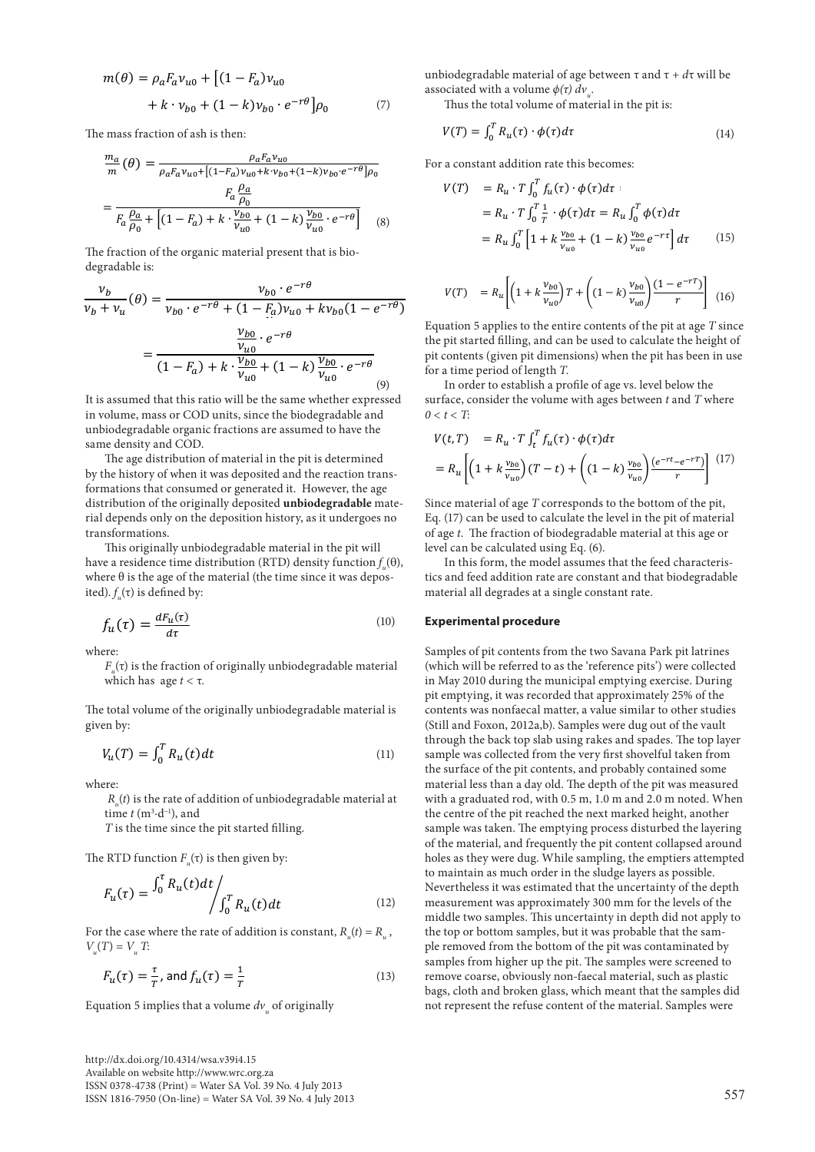$$
m(\theta) = \rho_a F_a \nu_{u0} + \left[ (1 - F_a) \nu_{u0} \right]
$$
\nunbiodegr  
associated  
associated  
associated

\n
$$
+ k \cdot \nu_{b0} + (1 - k) \nu_{b0} \cdot e^{-r\theta} \rho_0 \tag{7}
$$
\nThus t

The mass fraction of ash is then:

$$
\frac{m_a}{m}(\theta) = \frac{\rho_a F_a \nu_{uo}}{\rho_a F_a \nu_{uo} + [(1 - F_a)\nu_{uo} + k \nu_{bo} + (1 - k)\nu_{bo} \cdot e^{-r\theta}]\rho_0}
$$
For a const  

$$
= \frac{F_a \frac{\rho_a}{\rho_0}}{F_a \frac{\rho_a}{\rho_0} + [(1 - F_a) + k \cdot \frac{\nu_{bo}}{\nu_{uo}} + (1 - k) \frac{\nu_{bo}}{\nu_{uo}} \cdot e^{-r\theta}]}
$$
(8)

The fraction of the organic material present that is biodegradable is:

$$
\frac{v_b}{v_b + v_u}(\theta) = \frac{v_{b0} \cdot e^{-r\theta}}{v_{b0} \cdot e^{-r\theta} + (1 - F_a)v_{u0} + kv_{b0}(1 - e^{-r\theta})}
$$

$$
= \frac{\frac{v_{b0}}{v_{u0}} \cdot e^{-r\theta}}{(1 - F_a) + k \cdot \frac{v_{b0}}{v_{u0}} + (1 - k)\frac{v_{b0}}{v_{u0}} \cdot e^{-r\theta}}
$$

$$
(9)
$$

It is assumed that this ratio will be the same whether expressed in volume, mass or COD units, since the biodegradable and unbiodegradable organic fractions are assumed to have the same density and COD.

The age distribution of material in the pit is determined by the history of when it was deposited and the reaction trans-<br> $= R_u \left[ \left( 1 + k \frac{v_{bo}}{v_{uo}} \right) \right]$ formations that consumed or generated it. However, the age distribution of the originally deposited **unbiodegradable** material depends only on the deposition history, as it undergoes no transformations.

This originally unbiodegradable material in the pit will have a residence time distribution (RTD) density function  $f_u(\theta)$ , where  $\theta$  is the age of the material (the time since it was deposited).  $f$ <sub>*u*</sub>(τ) is defined by:

$$
f_u(\tau) = \frac{dF_u(\tau)}{d\tau} \tag{10}
$$

where:

 $F<sub>u</sub>(τ)$  is the fraction of originally unbiodegradable material which has age *t <* τ*.*

The total volume of the originally unbiodegradable material is given by:

$$
V_u(T) = \int_0^T R_u(t)dt
$$
\n(11)

where:

 $R<sub>u</sub>(t)$  is the rate of addition of unbiodegradable material at time *t* (m3 ∙d−1), and

*T* is the time since the pit started filling.

The RTD function  $F$ <sub>*u*</sub>(τ) is then given by:

$$
F_u(\tau) = \frac{\int_0^{\tau} R_u(t)dt}{\int_0^{\tau} R_u(t)dt}
$$
\n(12)

For the case where the rate of addition is constant,  $R_u(t) = R_u$ ,  $V_u(T) = V_u T$ 

$$
F_u(\tau) = \frac{\tau}{T}, \text{ and } f_u(\tau) = \frac{1}{T}
$$
 (13)

Equation 5 implies that a volume  $dv_u$  of originally

unbiodegradable material of age between τ and τ *+ d*τ will be associated with a volume  $\phi(\tau)$  *dv*<sub>v</sub>.

Thus the total volume of material in the pit is:

$$
V(T) = \int_0^T R_u(\tau) \cdot \phi(\tau) d\tau \tag{14}
$$

For a constant addition rate this becomes:

$$
V(T) = R_u \cdot T \int_0^T f_u(\tau) \cdot \phi(\tau) d\tau
$$
  
=  $R_u \cdot T \int_0^T \frac{1}{T} \cdot \phi(\tau) d\tau = R_u \int_0^T \phi(\tau) d\tau$   
=  $R_u \int_0^T \left[ 1 + k \frac{\nu_{b0}}{\nu_{u0}} + (1 - k) \frac{\nu_{b0}}{\nu_{u0}} e^{-r\tau} \right] d\tau$  (15)

$$
V(T) = R_u \left[ \left( 1 + k \frac{v_{b0}}{v_{u0}} \right) T + \left( (1 - k) \frac{v_{b0}}{v_{u0}} \right) \frac{(1 - e^{-rT})}{r} \right] (16)
$$

Equation 5 applies to the entire contents of the pit at age *T* since the pit started filling, and can be used to calculate the height of pit contents (given pit dimensions) when the pit has been in use for a time period of length *T*.

In order to establish a profile of age vs. level below the surface, consider the volume with ages between *t* and *T* where  $0 < t < T$ 

$$
V(t,T) = R_u \cdot T \int_t^T f_u(\tau) \cdot \phi(\tau) d\tau
$$
  
=  $R_u \left[ \left( 1 + k \frac{\nu_{b0}}{\nu_{u0}} \right) (T - t) + \left( (1 - k) \frac{\nu_{b0}}{\nu_{u0}} \right) \frac{(e^{-rt} - e^{-rT})}{r} \right]^{(17)}$ 

Since material of age *T* corresponds to the bottom of the pit, Eq. (17) can be used to calculate the level in the pit of material of age *t*. The fraction of biodegradable material at this age or level can be calculated using Eq. (6).

In this form, the model assumes that the feed characteristics and feed addition rate are constant and that biodegradable material all degrades at a single constant rate.

# **Experimental procedure**

Samples of pit contents from the two Savana Park pit latrines (which will be referred to as the 'reference pits') were collected in May 2010 during the municipal emptying exercise. During pit emptying, it was recorded that approximately 25% of the contents was nonfaecal matter, a value similar to other studies (Still and Foxon, 2012a,b). Samples were dug out of the vault through the back top slab using rakes and spades. The top layer sample was collected from the very first shovelful taken from the surface of the pit contents, and probably contained some material less than a day old. The depth of the pit was measured with a graduated rod, with 0.5 m, 1.0 m and 2.0 m noted. When the centre of the pit reached the next marked height, another sample was taken. The emptying process disturbed the layering of the material, and frequently the pit content collapsed around holes as they were dug. While sampling, the emptiers attempted to maintain as much order in the sludge layers as possible. Nevertheless it was estimated that the uncertainty of the depth measurement was approximately 300 mm for the levels of the middle two samples. This uncertainty in depth did not apply to the top or bottom samples, but it was probable that the sample removed from the bottom of the pit was contaminated by samples from higher up the pit. The samples were screened to remove coarse, obviously non-faecal material, such as plastic bags, cloth and broken glass, which meant that the samples did not represent the refuse content of the material. Samples were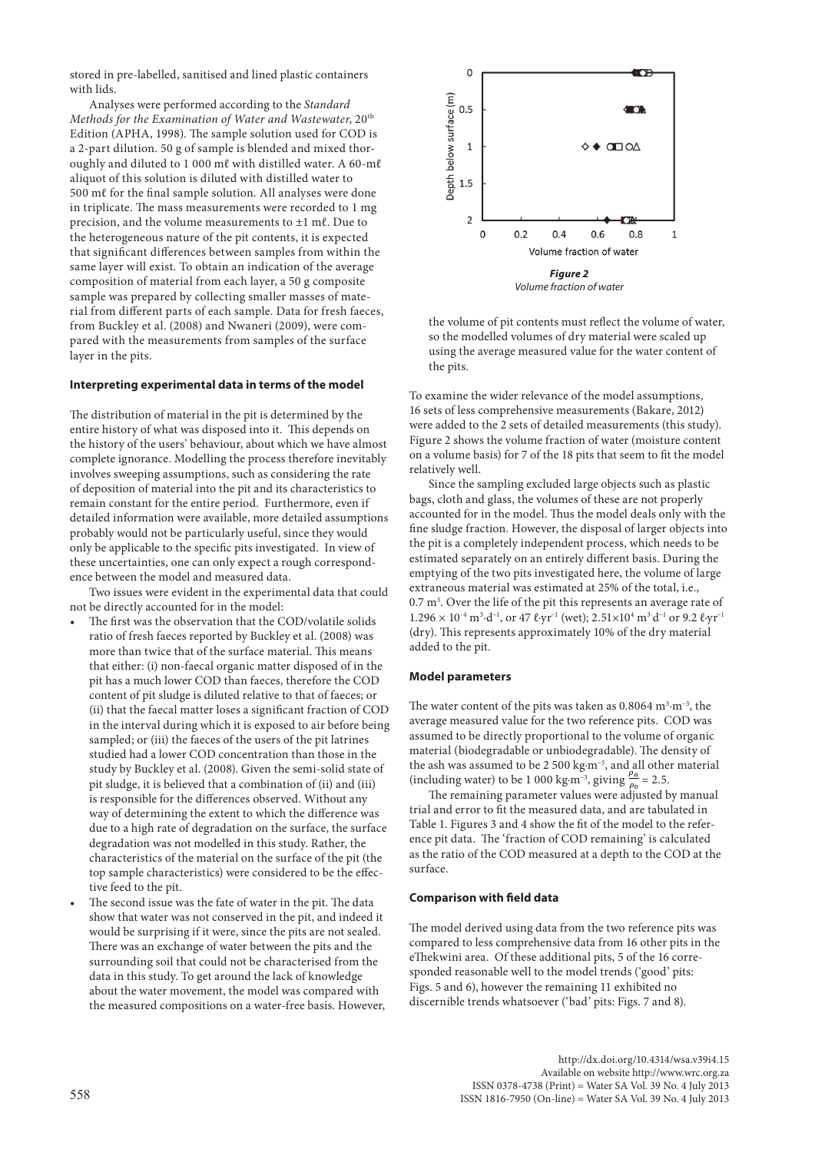stored in pre-labelled, sanitised and lined plastic containers with lids.

Analyses were performed according to the *Standard Methods for the Examination of Water and Wastewater*, 20th Edition (APHA, 1998). The sample solution used for COD is a 2-part dilution. 50 g of sample is blended and mixed thoroughly and diluted to 1 000 mℓ with distilled water. A 60-mℓ aliquot of this solution is diluted with distilled water to 500 mℓ for the final sample solution. All analyses were done in triplicate. The mass measurements were recorded to 1 mg precision, and the volume measurements to ±1 mℓ. Due to the heterogeneous nature of the pit contents, it is expected that significant differences between samples from within the same layer will exist. To obtain an indication of the average composition of material from each layer, a 50 g composite sample was prepared by collecting smaller masses of material from different parts of each sample. Data for fresh faeces, from Buckley et al. (2008) and Nwaneri (2009), were compared with the measurements from samples of the surface layer in the pits.

## **Interpreting experimental data in terms of the model**

The distribution of material in the pit is determined by the entire history of what was disposed into it. This depends on the history of the users' behaviour, about which we have almost complete ignorance. Modelling the process therefore inevitably involves sweeping assumptions, such as considering the rate of deposition of material into the pit and its characteristics to remain constant for the entire period. Furthermore, even if detailed information were available, more detailed assumptions probably would not be particularly useful, since they would only be applicable to the specific pits investigated. In view of these uncertainties, one can only expect a rough correspondence between the model and measured data.

Two issues were evident in the experimental data that could not be directly accounted for in the model:

- The first was the observation that the COD/volatile solids ratio of fresh faeces reported by Buckley et al. (2008) was more than twice that of the surface material. This means that either: (i) non-faecal organic matter disposed of in the pit has a much lower COD than faeces, therefore the COD content of pit sludge is diluted relative to that of faeces; or (ii) that the faecal matter loses a significant fraction of COD in the interval during which it is exposed to air before being sampled; or (iii) the faeces of the users of the pit latrines studied had a lower COD concentration than those in the study by Buckley et al. (2008). Given the semi-solid state of pit sludge, it is believed that a combination of (ii) and (iii) is responsible for the differences observed. Without any way of determining the extent to which the difference was due to a high rate of degradation on the surface, the surface degradation was not modelled in this study. Rather, the characteristics of the material on the surface of the pit (the top sample characteristics) were considered to be the effective feed to the pit.
- The second issue was the fate of water in the pit. The data show that water was not conserved in the pit, and indeed it would be surprising if it were, since the pits are not sealed. There was an exchange of water between the pits and the surrounding soil that could not be characterised from the data in this study. To get around the lack of knowledge about the water movement, the model was compared with the measured compositions on a water-free basis. However,



*Volume fraction of water*

the volume of pit contents must reflect the volume of water, so the modelled volumes of dry material were scaled up using the average measured value for the water content of the pits.

To examine the wider relevance of the model assumptions, 16 sets of less comprehensive measurements (Bakare, 2012) were added to the 2 sets of detailed measurements (this study). Figure 2 shows the volume fraction of water (moisture content on a volume basis) for 7 of the 18 pits that seem to fit the model relatively well.

Since the sampling excluded large objects such as plastic bags, cloth and glass, the volumes of these are not properly accounted for in the model. Thus the model deals only with the fine sludge fraction. However, the disposal of larger objects into the pit is a completely independent process, which needs to be estimated separately on an entirely different basis. During the emptying of the two pits investigated here, the volume of large extraneous material was estimated at 25% of the total, i.e., 0.7 m<sup>3</sup>. Over the life of the pit this represents an average rate of  $1.296 \times 10^{-4}$  m<sup>3</sup>⋅d<sup>-1</sup>, or 47 ℓ⋅yr<sup>-1</sup> (wet); 2.51×10<sup>4</sup> m<sup>3</sup>⋅d<sup>-1</sup> or 9.2 ℓ⋅yr<sup>-1</sup> (dry). This represents approximately 10% of the dry material added to the pit.

#### **Model parameters**

(including water) to be 1 000 kg⋅m<sup>-3</sup>, giving  $\frac{\rho_a}{\rho_0} = 2.5$ . The water content of the pits was taken as  $0.8064 \text{ m}^3 \cdot \text{m}^{-3}$ , the average measured value for the two reference pits. COD was assumed to be directly proportional to the volume of organic material (biodegradable or unbiodegradable). The density of the ash was assumed to be 2 500 kg∙m−3, and all other material

The remaining parameter values were adjusted by manual trial and error to fit the measured data, and are tabulated in Table 1. Figures 3 and 4 show the fit of the model to the reference pit data. The 'fraction of COD remaining' is calculated as the ratio of the COD measured at a depth to the COD at the surface.

#### **Comparison with field data**

The model derived using data from the two reference pits was compared to less comprehensive data from 16 other pits in the eThekwini area. Of these additional pits, 5 of the 16 corresponded reasonable well to the model trends ('good' pits: Figs. 5 and 6), however the remaining 11 exhibited no discernible trends whatsoever ('bad' pits: Figs. 7 and 8).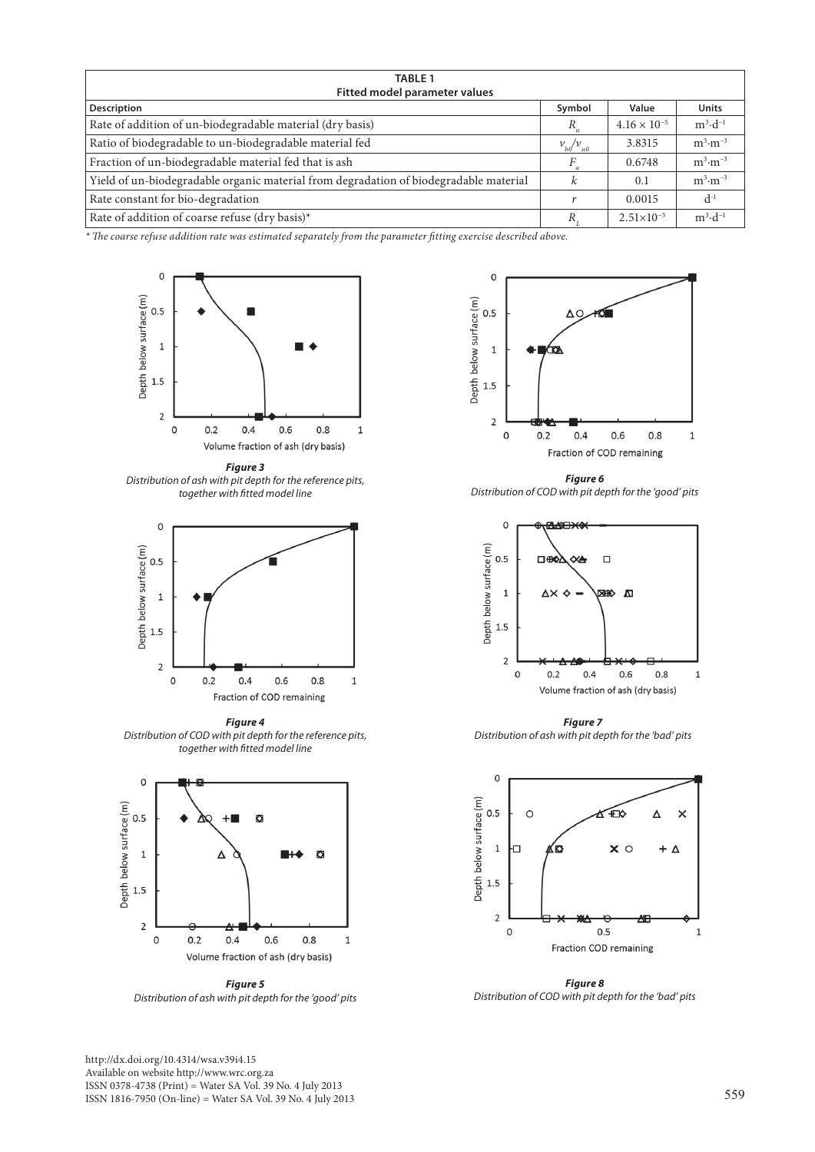| <b>TABLE 1</b><br>Fitted model parameter values                                       |                 |                       |                    |  |  |  |  |
|---------------------------------------------------------------------------------------|-----------------|-----------------------|--------------------|--|--|--|--|
| Description                                                                           | Symbol          | Value                 | <b>Units</b>       |  |  |  |  |
| Rate of addition of un-biodegradable material (dry basis)                             | R               | $4.16 \times 10^{-5}$ | $m^3 \cdot d^{-1}$ |  |  |  |  |
| Ratio of biodegradable to un-biodegradable material fed                               | $v_{b0}/v_{u0}$ | 3.8315                | $m^3 \cdot m^{-3}$ |  |  |  |  |
| Fraction of un-biodegradable material fed that is ash                                 | F               | 0.6748                | $m^3 \cdot m^{-3}$ |  |  |  |  |
| Yield of un-biodegradable organic material from degradation of biodegradable material | k               | 0.1                   | $m^3 \cdot m^{-3}$ |  |  |  |  |
| Rate constant for bio-degradation                                                     | r               | 0.0015                | $d^{-1}$           |  |  |  |  |
| Rate of addition of coarse refuse (dry basis)*                                        | R.              | $2.51\times10^{-5}$   | $m^3 \cdot d^{-1}$ |  |  |  |  |

*\* The coarse refuse addition rate was estimated separately from the parameter fitting exercise described above.*



*Figure 3 Distribution of ash with pit depth for the reference pits, together with fitted model line*



*Figure 4 Distribution of COD with pit depth for the reference pits, together with fitted model line*



*Figure 5 Distribution of ash with pit depth for the 'good' pits*



*Figure 6 Distribution of COD with pit depth for the 'good' pits*



*Figure 7 Distribution of ash with pit depth for the 'bad' pits*



*Figure 8 Distribution of COD with pit depth for the 'bad' pits*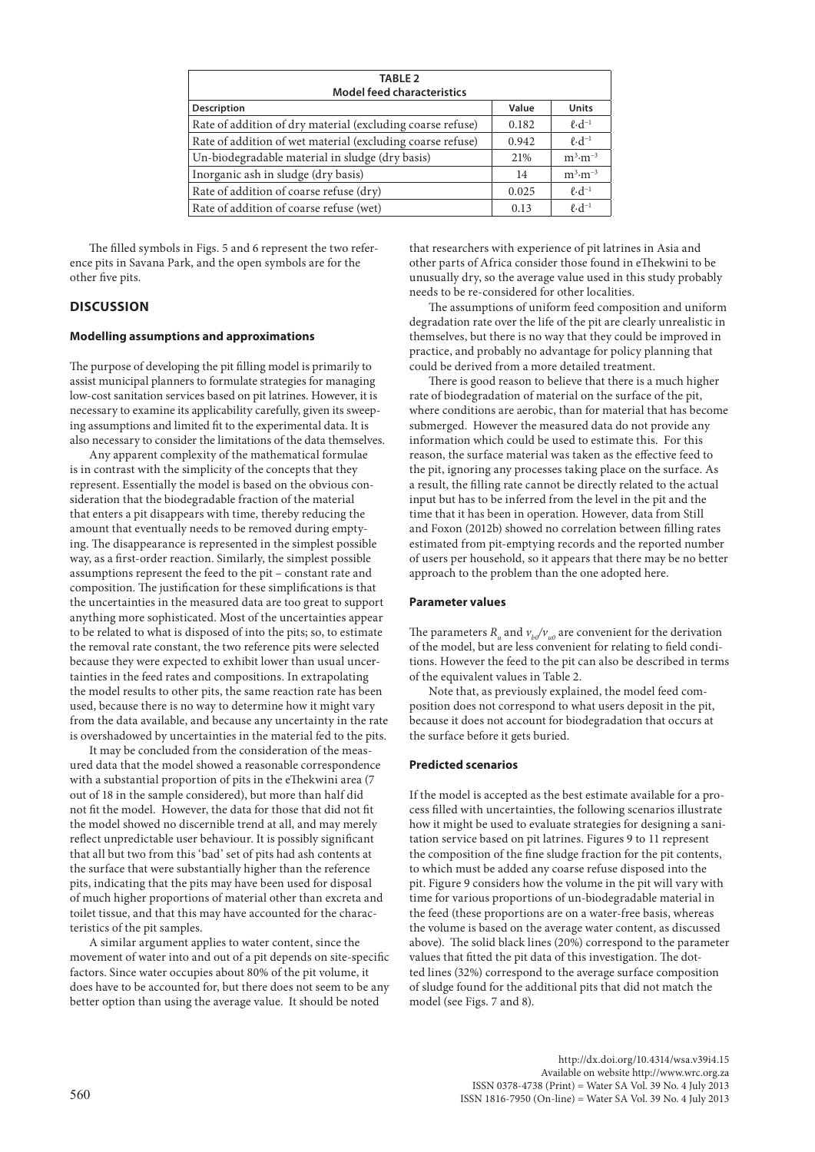| <b>TABLE 2</b><br><b>Model feed characteristics</b>        |       |                     |  |  |  |  |
|------------------------------------------------------------|-------|---------------------|--|--|--|--|
| <b>Description</b>                                         | Value | <b>Units</b>        |  |  |  |  |
| Rate of addition of dry material (excluding coarse refuse) | 0.182 | $\ell \cdot d^{-1}$ |  |  |  |  |
| Rate of addition of wet material (excluding coarse refuse) | 0.942 | $\ell \cdot d^{-1}$ |  |  |  |  |
| Un-biodegradable material in sludge (dry basis)            | 21%   | $m^3 \cdot m^{-3}$  |  |  |  |  |
| Inorganic ash in sludge (dry basis)                        | 14    | $m^3 \cdot m^{-3}$  |  |  |  |  |
| Rate of addition of coarse refuse (dry)                    | 0.025 | $\ell \cdot d^{-1}$ |  |  |  |  |
| Rate of addition of coarse refuse (wet)                    | 0.13  | $\ell \cdot d^{-1}$ |  |  |  |  |

The filled symbols in Figs. 5 and 6 represent the two reference pits in Savana Park, and the open symbols are for the other five pits.

# **DISCUSSION**

## **Modelling assumptions and approximations**

The purpose of developing the pit filling model is primarily to assist municipal planners to formulate strategies for managing low-cost sanitation services based on pit latrines. However, it is necessary to examine its applicability carefully, given its sweeping assumptions and limited fit to the experimental data. It is also necessary to consider the limitations of the data themselves.

Any apparent complexity of the mathematical formulae is in contrast with the simplicity of the concepts that they represent. Essentially the model is based on the obvious consideration that the biodegradable fraction of the material that enters a pit disappears with time, thereby reducing the amount that eventually needs to be removed during emptying. The disappearance is represented in the simplest possible way, as a first-order reaction. Similarly, the simplest possible assumptions represent the feed to the pit – constant rate and composition. The justification for these simplifications is that the uncertainties in the measured data are too great to support anything more sophisticated. Most of the uncertainties appear to be related to what is disposed of into the pits; so, to estimate the removal rate constant, the two reference pits were selected because they were expected to exhibit lower than usual uncertainties in the feed rates and compositions. In extrapolating the model results to other pits, the same reaction rate has been used, because there is no way to determine how it might vary from the data available, and because any uncertainty in the rate is overshadowed by uncertainties in the material fed to the pits.

It may be concluded from the consideration of the measured data that the model showed a reasonable correspondence with a substantial proportion of pits in the eThekwini area (7 out of 18 in the sample considered), but more than half did not fit the model. However, the data for those that did not fit the model showed no discernible trend at all, and may merely reflect unpredictable user behaviour. It is possibly significant that all but two from this 'bad' set of pits had ash contents at the surface that were substantially higher than the reference pits, indicating that the pits may have been used for disposal of much higher proportions of material other than excreta and toilet tissue, and that this may have accounted for the characteristics of the pit samples.

A similar argument applies to water content, since the movement of water into and out of a pit depends on site-specific factors. Since water occupies about 80% of the pit volume, it does have to be accounted for, but there does not seem to be any better option than using the average value. It should be noted

that researchers with experience of pit latrines in Asia and other parts of Africa consider those found in eThekwini to be unusually dry, so the average value used in this study probably needs to be re-considered for other localities.

The assumptions of uniform feed composition and uniform degradation rate over the life of the pit are clearly unrealistic in themselves, but there is no way that they could be improved in practice, and probably no advantage for policy planning that could be derived from a more detailed treatment.

There is good reason to believe that there is a much higher rate of biodegradation of material on the surface of the pit, where conditions are aerobic, than for material that has become submerged. However the measured data do not provide any information which could be used to estimate this. For this reason, the surface material was taken as the effective feed to the pit, ignoring any processes taking place on the surface. As a result, the filling rate cannot be directly related to the actual input but has to be inferred from the level in the pit and the time that it has been in operation. However, data from Still and Foxon (2012b) showed no correlation between filling rates estimated from pit-emptying records and the reported number of users per household, so it appears that there may be no better approach to the problem than the one adopted here.

#### **Parameter values**

The parameters  $R_{\mu}$  and  $v_{b0}/v_{\mu0}$  are convenient for the derivation of the model, but are less convenient for relating to field conditions. However the feed to the pit can also be described in terms of the equivalent values in Table 2.

Note that, as previously explained, the model feed composition does not correspond to what users deposit in the pit, because it does not account for biodegradation that occurs at the surface before it gets buried.

## **Predicted scenarios**

If the model is accepted as the best estimate available for a process filled with uncertainties, the following scenarios illustrate how it might be used to evaluate strategies for designing a sanitation service based on pit latrines. Figures 9 to 11 represent the composition of the fine sludge fraction for the pit contents, to which must be added any coarse refuse disposed into the pit. Figure 9 considers how the volume in the pit will vary with time for various proportions of un-biodegradable material in the feed (these proportions are on a water-free basis, whereas the volume is based on the average water content, as discussed above). The solid black lines (20%) correspond to the parameter values that fitted the pit data of this investigation. The dotted lines (32%) correspond to the average surface composition of sludge found for the additional pits that did not match the model (see Figs. 7 and 8).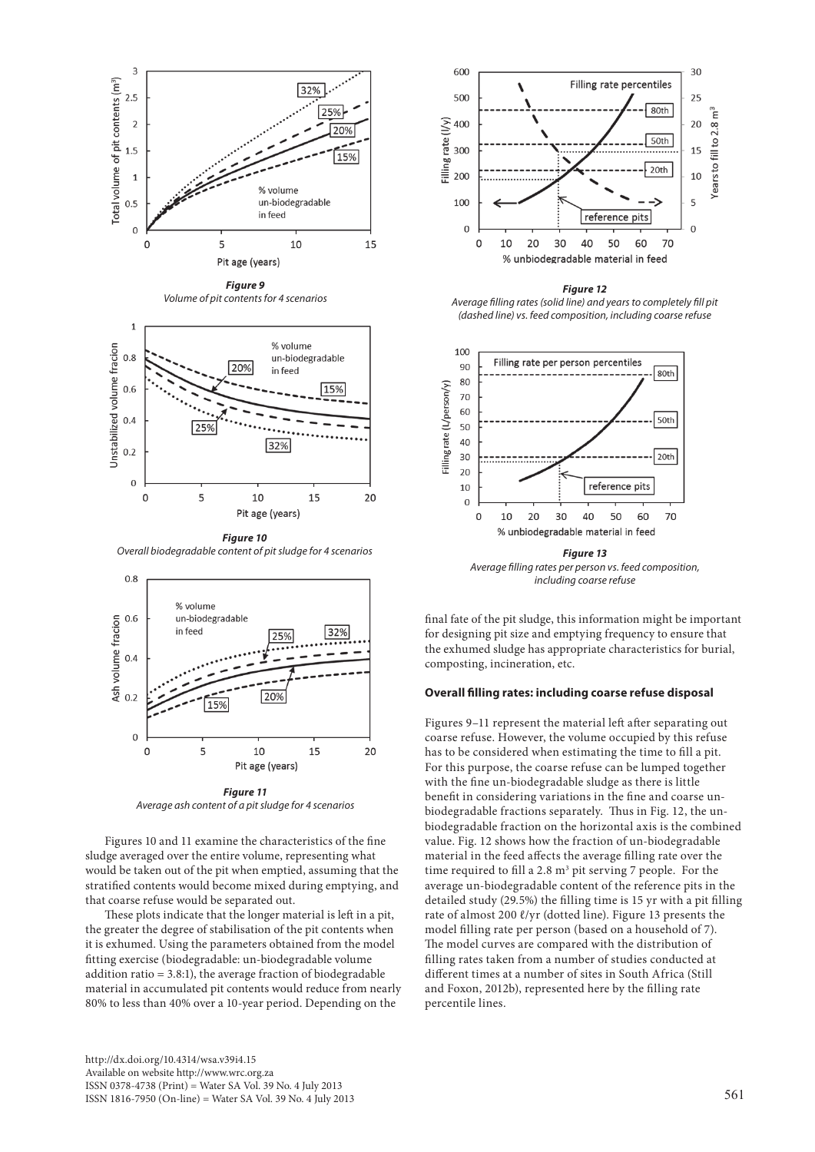

*Figure 10 Overall biodegradable content of pit sludge for 4 scenarios*



*Figure 11 Average ash content of a pit sludge for 4 scenarios*

Figures 10 and 11 examine the characteristics of the fine sludge averaged over the entire volume, representing what would be taken out of the pit when emptied, assuming that the stratified contents would become mixed during emptying, and that coarse refuse would be separated out.

These plots indicate that the longer material is left in a pit, the greater the degree of stabilisation of the pit contents when it is exhumed. Using the parameters obtained from the model fitting exercise (biodegradable: un-biodegradable volume addition ratio  $= 3.8:1$ ), the average fraction of biodegradable material in accumulated pit contents would reduce from nearly 80% to less than 40% over a 10-year period. Depending on the



*Figure 12 Average filling rates (solid line) and years to completely fill pit (dashed line) vs. feed composition, including coarse refuse*



*Average filling rates per person vs. feed composition, including coarse refuse*

final fate of the pit sludge, this information might be important for designing pit size and emptying frequency to ensure that the exhumed sludge has appropriate characteristics for burial, composting, incineration, etc.

## **Overall filling rates: including coarse refuse disposal**

Figures 9–11 represent the material left after separating out coarse refuse. However, the volume occupied by this refuse has to be considered when estimating the time to fill a pit. For this purpose, the coarse refuse can be lumped together with the fine un-biodegradable sludge as there is little benefit in considering variations in the fine and coarse unbiodegradable fractions separately. Thus in Fig. 12, the unbiodegradable fraction on the horizontal axis is the combined value. Fig. 12 shows how the fraction of un-biodegradable material in the feed affects the average filling rate over the time required to fill a 2.8  $m<sup>3</sup>$  pit serving 7 people. For the average un-biodegradable content of the reference pits in the detailed study (29.5%) the filling time is 15 yr with a pit filling rate of almost 200 ℓ/yr (dotted line). Figure 13 presents the model filling rate per person (based on a household of 7). The model curves are compared with the distribution of filling rates taken from a number of studies conducted at different times at a number of sites in South Africa (Still and Foxon, 2012b), represented here by the filling rate percentile lines.